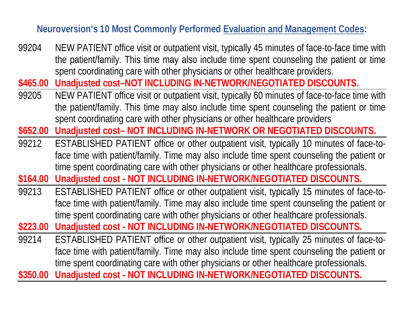## **Neuroversion's 10 Most Commonly Performed Evaluation and Management Codes:**

- 99204 NEW PATIENT office visit or outpatient visit, typically 45 minutes of face-to-face time with the patient/family. This time may also include time spent counseling the patient or time spent coordinating care with other physicians or other healthcare providers.
- **\$465.00 Unadjusted cost–NOT INCLUDING IN-NETWORK/NEGOTIATED DISCOUNTS.**
- 99205 NEW PATIENT office visit or outpatient visit, typically 60 minutes of face-to-face time with the patient/family. This time may also include time spent counseling the patient or time spent coordinating care with other physicians or other healthcare providers
- **\$652.00 Unadjusted cost– NOT INCLUDING IN-NETWORK OR NEGOTIATED DISCOUNTS.**
- 99212 ESTABLISHED PATIENT office or other outpatient visit, typically 10 minutes of face-toface time with patient/family. Time may also include time spent counseling the patient or time spent coordinating care with other physicians or other healthcare professionals.
- **\$164.00 Unadjusted cost - NOT INCLUDING IN-NETWORK/NEGOTIATED DISCOUNTS.**
- 99213 ESTABLISHED PATIENT office or other outpatient visit, typically 15 minutes of face-toface time with patient/family. Time may also include time spent counseling the patient or time spent coordinating care with other physicians or other healthcare professionals.

**\$223.00 Unadjusted cost - NOT INCLUDING IN-NETWORK/NEGOTIATED DISCOUNTS.**

99214 ESTABLISHED PATIENT office or other outpatient visit, typically 25 minutes of face-toface time with patient/family. Time may also include time spent counseling the patient or time spent coordinating care with other physicians or other healthcare professionals.

**\$350.00 Unadjusted cost - NOT INCLUDING IN-NETWORK/NEGOTIATED DISCOUNTS.**